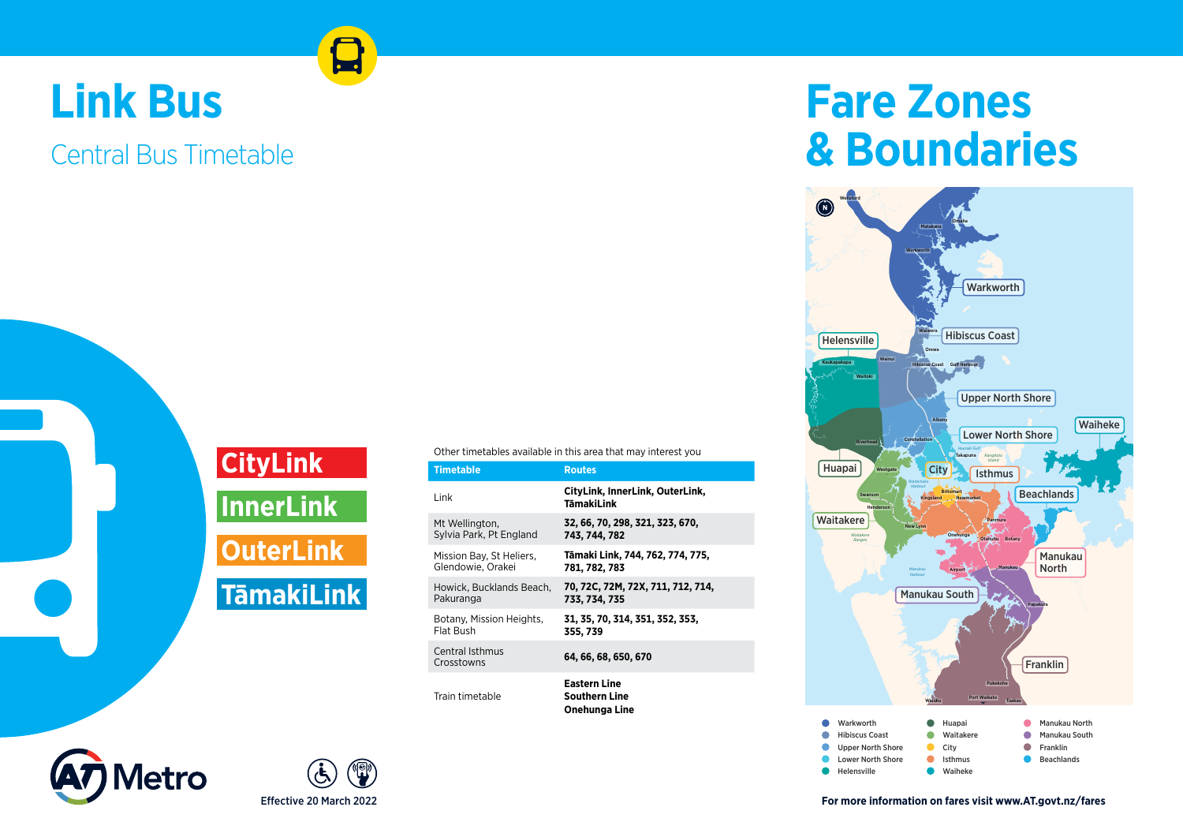## **Link Bus**

## Central Bus Timetable

**CityLink InnerLink OuterLink TāmakiLink**

|  | Timetable                                     | <b>Routes</b>                                         |
|--|-----------------------------------------------|-------------------------------------------------------|
|  | Link                                          | CityLink, InnerLink, OuterLink,<br>TāmakiLink         |
|  | Mt Wellington,<br>Sylvia Park, Pt England     | 32, 66, 70, 298, 321, 323, 670,<br>743, 744, 782      |
|  | Mission Bay, St Heliers,<br>Glendowie, Orakei | Tāmaki Link, 744, 762, 774, 775,<br>781, 782, 783     |
|  | Howick, Bucklands Beach,<br>Pakuranga         | 70, 72C, 72M, 72X, 711, 712, 714,<br>733, 734, 735    |
|  | Botany, Mission Heights,<br>Flat Bush         | 31, 35, 70, 314, 351, 352, 353,<br>355, 739           |
|  | Central Isthmus<br>Crosstowns                 | 64, 66, 68, 650, 670                                  |
|  | Train timetable                               | Eastern Line<br><b>Southern Line</b><br>Onehunga Line |

## **Fare Zones & Boundaries**







**For more information on fares visit www.AT.govt.nz/fares**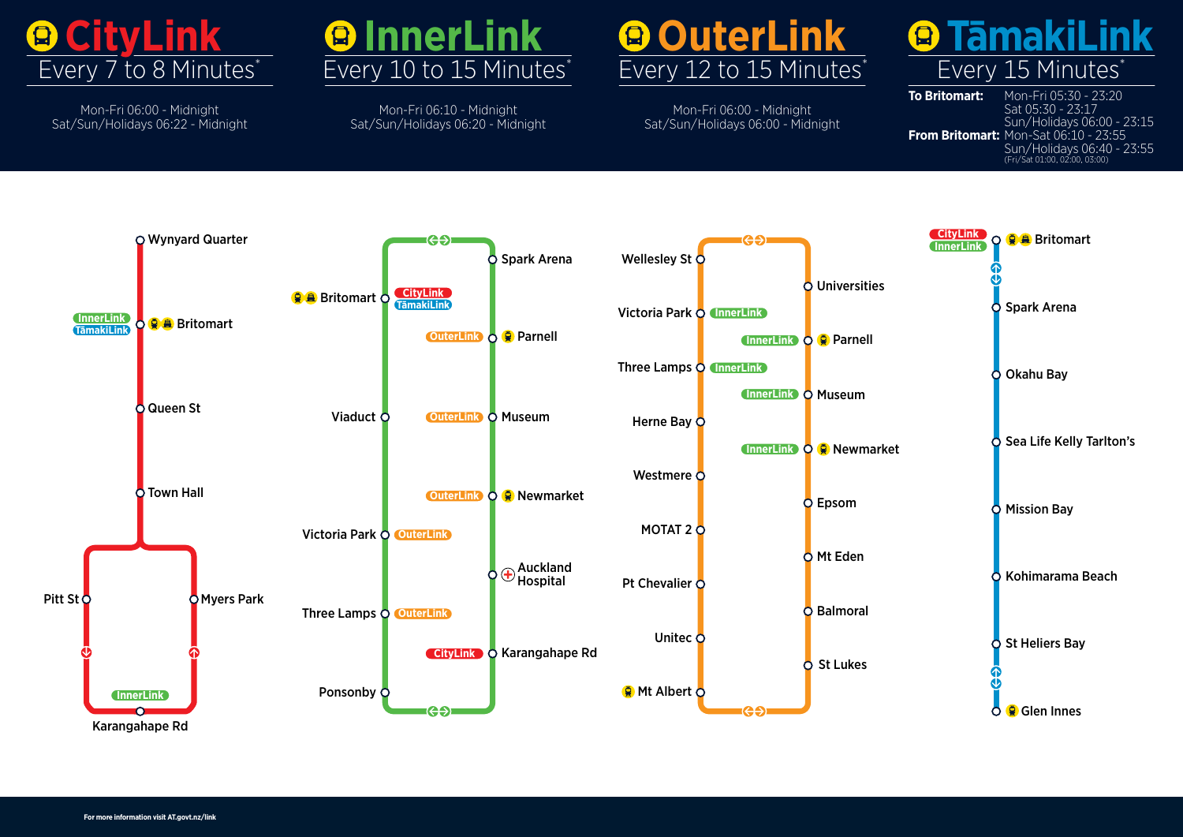

Mon-Fri 06:00 - Midnight Sat/Sun/Holidays 06:22 - Midnight



Mon-Fri 06:10 - Midnight Sat/Sun/Holidays 06:20 - Midnight



Mon-Fri 06:00 - Midnight Sat/Sun/Holidays 06:00 - Midnight



**To Britomart:** Mon-Fri 05:30 - 23:20 Sat 05:30 - 23:17 Sat 05:30 - 23:17<br>Sun/Holidays 06:00 - 23:15 ، - Sun/Holldays 06:00<br>**From Britomart:** Mon-Sat 06:10 - 23:55 **Sinart:** Horr-Sat 00:10 - 23:33<br>Sun/Holidays 06:40 - 23:55 (Fri/Sat 01:00, 02:00, 03:00) **From Britomart:** Mon-Sat 06:10 - 23:55

Sun/Holidays 06:40 - 23:55